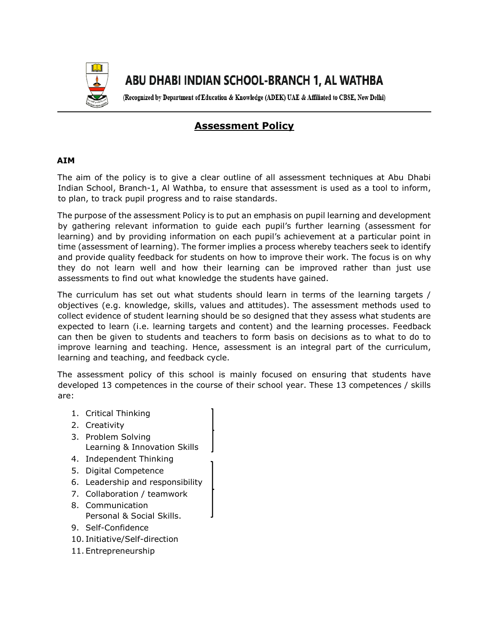

# ABU DHABI INDIAN SCHOOL-BRANCH 1, AL WATHBA

(Recognized by Department of Education & Knowledge (ADEK) UAE & Affiliated to CBSE, New Delhi)

# **Assessment Policy**

# **AIM**

The aim of the policy is to give a clear outline of all assessment techniques at Abu Dhabi Indian School, Branch-1, Al Wathba, to ensure that assessment is used as a tool to inform, to plan, to track pupil progress and to raise standards.

The purpose of the assessment Policy is to put an emphasis on pupil learning and development by gathering relevant information to guide each pupil's further learning (assessment for learning) and by providing information on each pupil's achievement at a particular point in time (assessment of learning). The former implies a process whereby teachers seek to identify and provide quality feedback for students on how to improve their work. The focus is on why they do not learn well and how their learning can be improved rather than just use assessments to find out what knowledge the students have gained.

The curriculum has set out what students should learn in terms of the learning targets / objectives (e.g. knowledge, skills, values and attitudes). The assessment methods used to collect evidence of student learning should be so designed that they assess what students are expected to learn (i.e. learning targets and content) and the learning processes. Feedback can then be given to students and teachers to form basis on decisions as to what to do to improve learning and teaching. Hence, assessment is an integral part of the curriculum, learning and teaching, and feedback cycle.

The assessment policy of this school is mainly focused on ensuring that students have developed 13 competences in the course of their school year. These 13 competences / skills are:

- 1. Critical Thinking
- 2. Creativity
- 3. Problem Solving Learning & Innovation Skills
- 4. Independent Thinking
- 5. Digital Competence
- 6. Leadership and responsibility
- 7. Collaboration / teamwork
- 8. Communication Personal & Social Skills.
- 9. Self-Confidence
- 10. Initiative/Self-direction
- 11. Entrepreneurship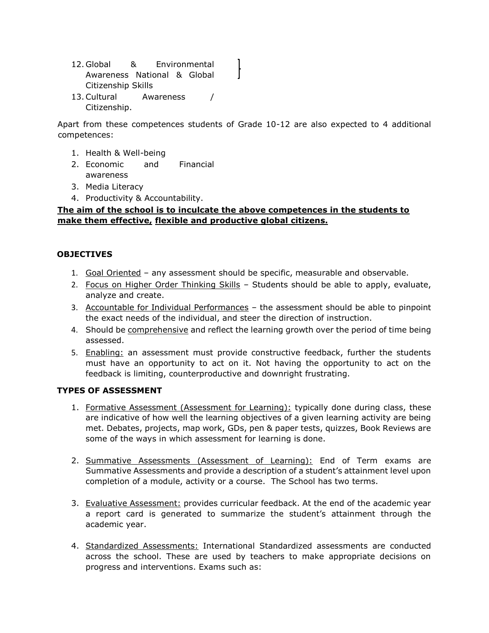- 12. Global & Environmental Awareness National & Global Citizenship Skills
- 13.Cultural Awareness / Citizenship.

Apart from these competences students of Grade 10-12 are also expected to 4 additional competences:

- 1. Health & Well-being
- 2. Economic and Financial awareness
- 3. Media Literacy
- 4. Productivity & Accountability.

### **The aim of the school is to inculcate the above competences in the students to make them effective, flexible and productive global citizens.**

#### **OBJECTIVES**

- 1. Goal Oriented any assessment should be specific, measurable and observable.
- 2. Focus on Higher Order Thinking Skills Students should be able to apply, evaluate, analyze and create.
- 3. Accountable for Individual Performances the assessment should be able to pinpoint the exact needs of the individual, and steer the direction of instruction.
- 4. Should be comprehensive and reflect the learning growth over the period of time being assessed.
- 5. Enabling: an assessment must provide constructive feedback, further the students must have an opportunity to act on it. Not having the opportunity to act on the feedback is limiting, counterproductive and downright frustrating.

#### **TYPES OF ASSESSMENT**

- 1. Formative Assessment (Assessment for Learning): typically done during class, these are indicative of how well the learning objectives of a given learning activity are being met. Debates, projects, map work, GDs, pen & paper tests, quizzes, Book Reviews are some of the ways in which assessment for learning is done.
- 2. Summative Assessments (Assessment of Learning): End of Term exams are Summative Assessments and provide a description of a student's attainment level upon completion of a module, activity or a course. The School has two terms.
- 3. Evaluative Assessment: provides curricular feedback. At the end of the academic year a report card is generated to summarize the student's attainment through the academic year.
- 4. Standardized Assessments: International Standardized assessments are conducted across the school. These are used by teachers to make appropriate decisions on progress and interventions. Exams such as: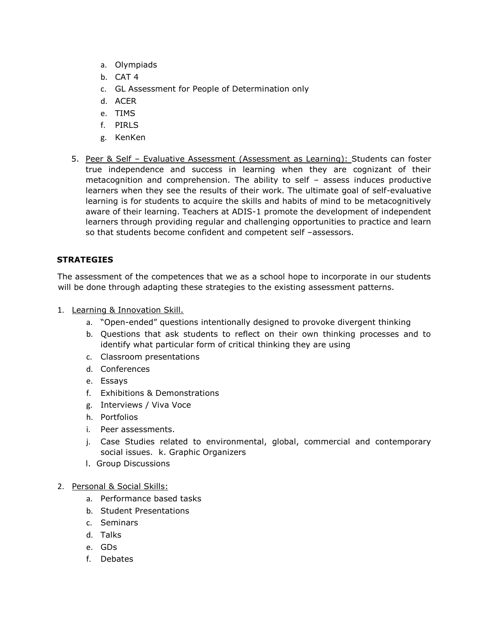- a. Olympiads
- b. CAT 4
- c. GL Assessment for People of Determination only
- d. ACER
- e. TIMS
- f. PIRLS
- g. KenKen
- 5. Peer & Self Evaluative Assessment (Assessment as Learning): Students can foster true independence and success in learning when they are cognizant of their metacognition and comprehension. The ability to self – assess induces productive learners when they see the results of their work. The ultimate goal of self-evaluative learning is for students to acquire the skills and habits of mind to be metacognitively aware of their learning. Teachers at ADIS-1 promote the development of independent learners through providing regular and challenging opportunities to practice and learn so that students become confident and competent self –assessors.

# **STRATEGIES**

The assessment of the competences that we as a school hope to incorporate in our students will be done through adapting these strategies to the existing assessment patterns.

- 1. Learning & Innovation Skill.
	- a. "Open-ended" questions intentionally designed to provoke divergent thinking
	- b. Questions that ask students to reflect on their own thinking processes and to identify what particular form of critical thinking they are using
	- c. Classroom presentations
	- d. Conferences
	- e. Essays
	- f. Exhibitions & Demonstrations
	- g. Interviews / Viva Voce
	- h. Portfolios
	- i. Peer assessments.
	- j. Case Studies related to environmental, global, commercial and contemporary social issues. k. Graphic Organizers
	- l. Group Discussions
- 2. Personal & Social Skills:
	- a. Performance based tasks
	- b. Student Presentations
	- c. Seminars
	- d. Talks
	- e. GDs
	- f. Debates